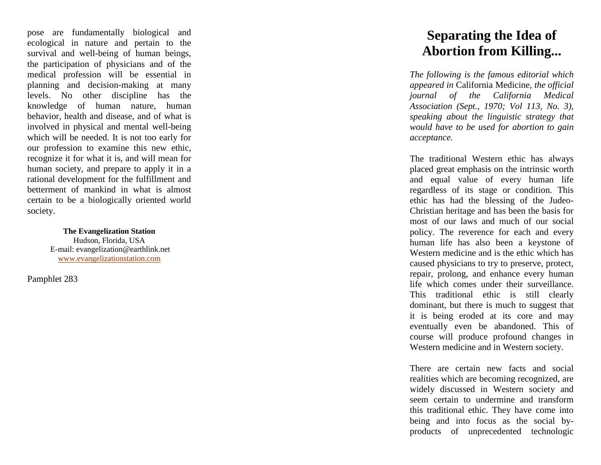pose are fundamentally biological and ecological in nature and pertain to the survival and well -being of human beings, the participation of physicians and of the medical profession will be essential in planning and decision -making at many levels. No other discipline has the knowledge of human nature, human behavior, health and disease, and of what is involved in physical and mental well -being which will be needed. It is not too early for our profession to examine this new ethic, recognize it for what it is, and will mean for human society, and prepare to apply it in a rational development for the fulfillment and betterment of mankind in what is almost certain to be a biologically oriented world society.

> **The Evangelization Station** Hudson, Florida, USA E -mail: evangelization@earthlink.net [www.evangelizationstation.com](http://www.pjpiisoe.org/)

Pamphlet 283

## **Separating the Idea of Abortion from Killing...**

*The following is the famous editorial which appeared in* California Medicine, *the official journal of the California Medical Association (Sept., 1970; Vol 113, No. 3), speaking about the linguistic strategy that would have to be used for abortion to gain acceptance.*

The traditional Western ethic has always placed great emphasis on the intrinsic worth and equal value of every human life regardless of its stage or condition. This ethic has had the blessing of the Judeo - Christian heritage and has been the basis for most of our laws and much of our social policy. The reverence for each and every human life has also been a keystone of Western medicine and is the ethic which has caused physicians to try to preserve, protect, repair, prolong, and enhance every human life which comes under their surveillance. This traditional ethic is still clearly dominant, but there is much to suggest that it is being eroded at its core and may eventually even be abandoned. This of course will produce profound changes in Western medicine and in Western society.

There are certain new facts and social realities which are becoming recognized, are widely discussed in Western society and seem certain to undermine and transform this traditional ethic. They have come into being and into focus as the social by products of unprecedented technologic